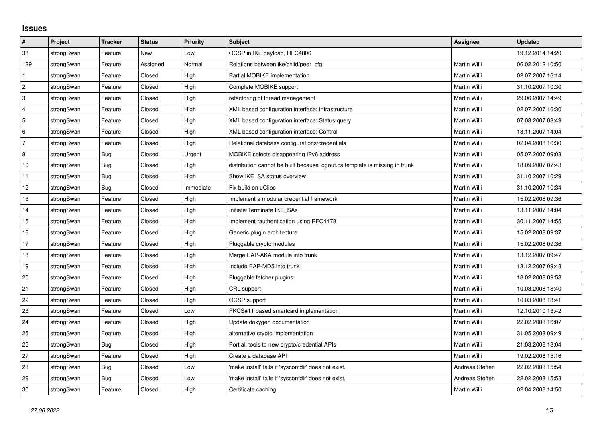## **Issues**

| #              | Project    | <b>Tracker</b> | <b>Status</b> | <b>Priority</b> | <b>Subject</b>                                                              | <b>Assignee</b> | <b>Updated</b>   |
|----------------|------------|----------------|---------------|-----------------|-----------------------------------------------------------------------------|-----------------|------------------|
| 38             | strongSwan | Feature        | <b>New</b>    | Low             | OCSP in IKE payload, RFC4806                                                |                 | 19.12.2014 14:20 |
| 129            | strongSwan | Feature        | Assigned      | Normal          | Relations between ike/child/peer cfg                                        | Martin Willi    | 06.02.2012 10:50 |
| $\mathbf{1}$   | strongSwan | Feature        | Closed        | High            | Partial MOBIKE implementation                                               | Martin Willi    | 02.07.2007 16:14 |
| $\overline{2}$ | strongSwan | Feature        | Closed        | High            | Complete MOBIKE support                                                     | Martin Willi    | 31.10.2007 10:30 |
| 3              | strongSwan | Feature        | Closed        | High            | refactoring of thread management                                            | Martin Willi    | 29.06.2007 14:49 |
| 4              | strongSwan | Feature        | Closed        | High            | XML based configuration interface: Infrastructure                           | Martin Willi    | 02.07.2007 16:30 |
| 5              | strongSwan | Feature        | Closed        | High            | XML based configuration interface: Status query                             | Martin Willi    | 07.08.2007 08:49 |
| 6              | strongSwan | Feature        | Closed        | High            | XML based configuration interface: Control                                  | Martin Willi    | 13.11.2007 14:04 |
| 7              | strongSwan | Feature        | Closed        | High            | Relational database configurations/credentials                              | Martin Willi    | 02.04.2008 16:30 |
| 8              | strongSwan | Bug            | Closed        | Urgent          | MOBIKE selects disappearing IPv6 address                                    | Martin Willi    | 05.07.2007 09:03 |
| 10             | strongSwan | Bug            | Closed        | High            | distribution cannot be built because logout.cs template is missing in trunk | Martin Willi    | 18.09.2007 07:43 |
| 11             | strongSwan | Bug            | Closed        | High            | Show IKE SA status overview                                                 | Martin Willi    | 31.10.2007 10:29 |
| 12             | strongSwan | Bug            | Closed        | Immediate       | Fix build on uClibc                                                         | Martin Willi    | 31.10.2007 10:34 |
| 13             | strongSwan | Feature        | Closed        | High            | Implement a modular credential framework                                    | Martin Willi    | 15.02.2008 09:36 |
| 14             | strongSwan | Feature        | Closed        | High            | Initiate/Terminate IKE SAs                                                  | Martin Willi    | 13.11.2007 14:04 |
| 15             | strongSwan | Feature        | Closed        | High            | Implement rauthentication using RFC4478                                     | Martin Willi    | 30.11.2007 14:55 |
| 16             | strongSwan | Feature        | Closed        | High            | Generic plugin architecture                                                 | Martin Willi    | 15.02.2008 09:37 |
| 17             | strongSwan | Feature        | Closed        | High            | Pluggable crypto modules                                                    | Martin Willi    | 15.02.2008 09:36 |
| 18             | strongSwan | Feature        | Closed        | High            | Merge EAP-AKA module into trunk                                             | Martin Willi    | 13.12.2007 09:47 |
| 19             | strongSwan | Feature        | Closed        | High            | Include EAP-MD5 into trunk                                                  | Martin Willi    | 13.12.2007 09:48 |
| $20\,$         | strongSwan | Feature        | Closed        | High            | Pluggable fetcher plugins                                                   | Martin Willi    | 18.02.2008 09:58 |
| 21             | strongSwan | Feature        | Closed        | High            | CRL support                                                                 | Martin Willi    | 10.03.2008 18:40 |
| 22             | strongSwan | Feature        | Closed        | High            | OCSP support                                                                | Martin Willi    | 10.03.2008 18:41 |
| 23             | strongSwan | Feature        | Closed        | Low             | PKCS#11 based smartcard implementation                                      | Martin Willi    | 12.10.2010 13:42 |
| 24             | strongSwan | Feature        | Closed        | High            | Update doxygen documentation                                                | Martin Willi    | 22.02.2008 16:07 |
| 25             | strongSwan | Feature        | Closed        | High            | alternative crypto implementation                                           | Martin Willi    | 31.05.2008 09:49 |
| 26             | strongSwan | Bug            | Closed        | High            | Port all tools to new crypto/credential APIs                                | Martin Willi    | 21.03.2008 18:04 |
| 27             | strongSwan | Feature        | Closed        | High            | Create a database API                                                       | Martin Willi    | 19.02.2008 15:16 |
| 28             | strongSwan | Bug            | Closed        | Low             | 'make install' fails if 'sysconfdir' does not exist.                        | Andreas Steffen | 22.02.2008 15:54 |
| 29             | strongSwan | Bug            | Closed        | Low             | 'make install' fails if 'sysconfdir' does not exist.                        | Andreas Steffen | 22.02.2008 15:53 |
| 30             | strongSwan | Feature        | Closed        | High            | Certificate caching                                                         | Martin Willi    | 02.04.2008 14:50 |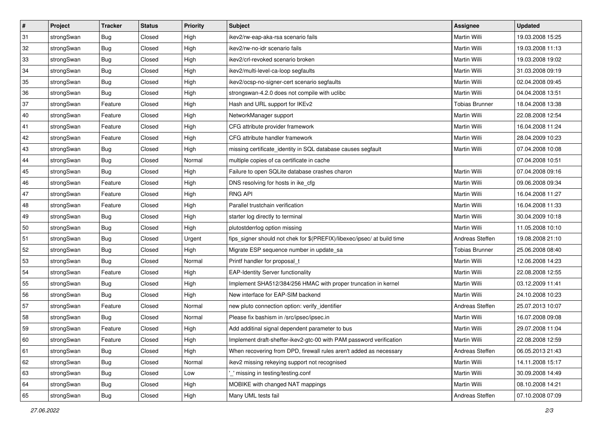| #  | Project    | <b>Tracker</b> | <b>Status</b> | <b>Priority</b> | <b>Subject</b>                                                          | <b>Assignee</b>       | <b>Updated</b>   |
|----|------------|----------------|---------------|-----------------|-------------------------------------------------------------------------|-----------------------|------------------|
| 31 | strongSwan | <b>Bug</b>     | Closed        | High            | ikev2/rw-eap-aka-rsa scenario fails                                     | Martin Willi          | 19.03.2008 15:25 |
| 32 | strongSwan | Bug            | Closed        | High            | ikev2/rw-no-idr scenario fails                                          | <b>Martin Willi</b>   | 19.03.2008 11:13 |
| 33 | strongSwan | <b>Bug</b>     | Closed        | High            | ikev2/crl-revoked scenario broken                                       | Martin Willi          | 19.03.2008 19:02 |
| 34 | strongSwan | <b>Bug</b>     | Closed        | High            | ikev2/multi-level-ca-loop segfaults                                     | Martin Willi          | 31.03.2008 09:19 |
| 35 | strongSwan | Bug            | Closed        | High            | ikev2/ocsp-no-signer-cert scenario segfaults                            | Martin Willi          | 02.04.2008 09:45 |
| 36 | strongSwan | <b>Bug</b>     | Closed        | High            | strongswan-4.2.0 does not compile with uclibe                           | Martin Willi          | 04.04.2008 13:51 |
| 37 | strongSwan | Feature        | Closed        | High            | Hash and URL support for IKEv2                                          | <b>Tobias Brunner</b> | 18.04.2008 13:38 |
| 40 | strongSwan | Feature        | Closed        | High            | NetworkManager support                                                  | Martin Willi          | 22.08.2008 12:54 |
| 41 | strongSwan | Feature        | Closed        | High            | CFG attribute provider framework                                        | Martin Willi          | 16.04.2008 11:24 |
| 42 | strongSwan | Feature        | Closed        | High            | CFG attribute handler framework                                         | Martin Willi          | 28.04.2009 10:23 |
| 43 | strongSwan | <b>Bug</b>     | Closed        | High            | missing certificate_identity in SQL database causes segfault            | Martin Willi          | 07.04.2008 10:08 |
| 44 | strongSwan | <b>Bug</b>     | Closed        | Normal          | multiple copies of ca certificate in cache                              |                       | 07.04.2008 10:51 |
| 45 | strongSwan | Bug            | Closed        | High            | Failure to open SQLite database crashes charon                          | Martin Willi          | 07.04.2008 09:16 |
| 46 | strongSwan | Feature        | Closed        | High            | DNS resolving for hosts in ike_cfg                                      | Martin Willi          | 09.06.2008 09:34 |
| 47 | strongSwan | Feature        | Closed        | High            | <b>RNG API</b>                                                          | <b>Martin Willi</b>   | 16.04.2008 11:27 |
| 48 | strongSwan | Feature        | Closed        | High            | Parallel trustchain verification                                        | Martin Willi          | 16.04.2008 11:33 |
| 49 | strongSwan | <b>Bug</b>     | Closed        | High            | starter log directly to terminal                                        | <b>Martin Willi</b>   | 30.04.2009 10:18 |
| 50 | strongSwan | Bug            | Closed        | High            | plutostderrlog option missing                                           | <b>Martin Willi</b>   | 11.05.2008 10:10 |
| 51 | strongSwan | <b>Bug</b>     | Closed        | Urgent          | fips_signer should not chek for \$(PREFIX)/libexec/ipsec/ at build time | Andreas Steffen       | 19.08.2008 21:10 |
| 52 | strongSwan | Bug            | Closed        | High            | Migrate ESP sequence number in update_sa                                | <b>Tobias Brunner</b> | 25.06.2008 08:40 |
| 53 | strongSwan | Bug            | Closed        | Normal          | Printf handler for proposal t                                           | Martin Willi          | 12.06.2008 14:23 |
| 54 | strongSwan | Feature        | Closed        | High            | <b>EAP-Identity Server functionality</b>                                | Martin Willi          | 22.08.2008 12:55 |
| 55 | strongSwan | Bug            | Closed        | High            | Implement SHA512/384/256 HMAC with proper truncation in kernel          | Martin Willi          | 03.12.2009 11:41 |
| 56 | strongSwan | <b>Bug</b>     | Closed        | High            | New interface for EAP-SIM backend                                       | Martin Willi          | 24.10.2008 10:23 |
| 57 | strongSwan | Feature        | Closed        | Normal          | new pluto connection option: verify_identifier                          | Andreas Steffen       | 25.07.2013 10:07 |
| 58 | strongSwan | <b>Bug</b>     | Closed        | Normal          | Please fix bashism in /src/ipsec/ipsec.in                               | <b>Martin Willi</b>   | 16.07.2008 09:08 |
| 59 | strongSwan | Feature        | Closed        | High            | Add additinal signal dependent parameter to bus                         | Martin Willi          | 29.07.2008 11:04 |
| 60 | strongSwan | Feature        | Closed        | High            | Implement draft-sheffer-ikev2-gtc-00 with PAM password verification     | Martin Willi          | 22.08.2008 12:59 |
| 61 | strongSwan | Bug            | Closed        | High            | When recovering from DPD, firewall rules aren't added as necessary      | Andreas Steffen       | 06.05.2013 21:43 |
| 62 | strongSwan | <b>Bug</b>     | Closed        | Normal          | ikev2 missing rekeying support not recognised                           | Martin Willi          | 14.11.2008 15:17 |
| 63 | strongSwan | Bug            | Closed        | Low             | missing in testing/testing.conf                                         | Martin Willi          | 30.09.2008 14:49 |
| 64 | strongSwan | Bug            | Closed        | High            | MOBIKE with changed NAT mappings                                        | Martin Willi          | 08.10.2008 14:21 |
| 65 | strongSwan | Bug            | Closed        | High            | Many UML tests fail                                                     | Andreas Steffen       | 07.10.2008 07:09 |